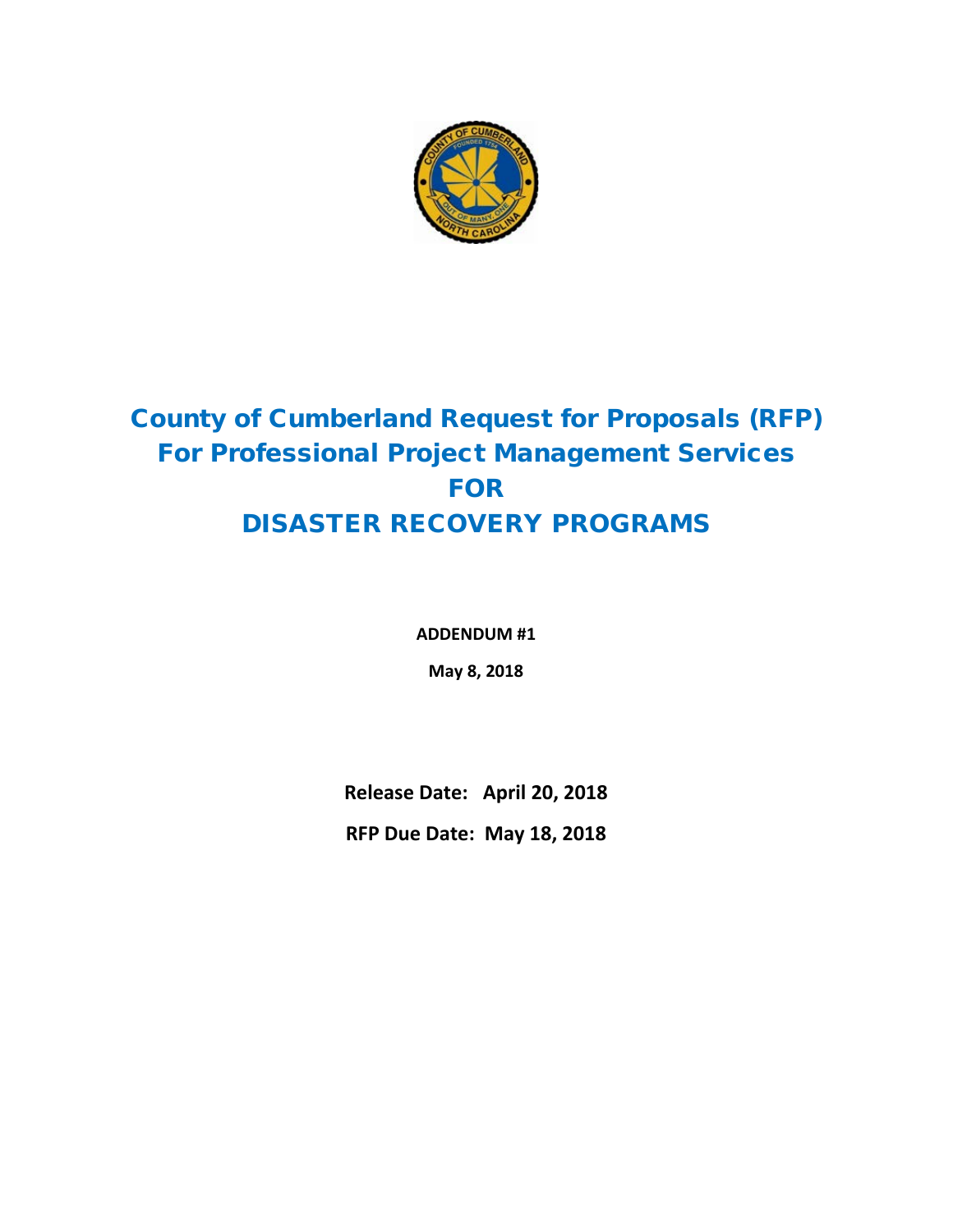

## County of Cumberland Request for Proposals (RFP) For Professional Project Management Services FOR DISASTER RECOVERY PROGRAMS

**ADDENDUM #1**

**May 8, 2018**

**Release Date: April 20, 2018**

**RFP Due Date: May 18, 2018**